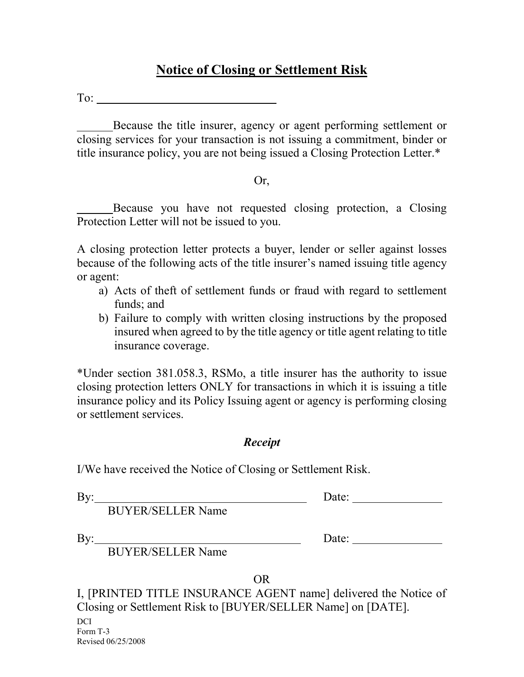## **Notice of Closing or Settlement Risk**

To:

Because the title insurer, agency or agent performing settlement or closing services for your transaction is not issuing a commitment, binder or title insurance policy, you are not being issued a Closing Protection Letter.\*

## Or,

Because you have not requested closing protection, a Closing Protection Letter will not be issued to you.

A closing protection letter protects a buyer, lender or seller against losses because of the following acts of the title insurer's named issuing title agency or agent:

- a) Acts of theft of settlement funds or fraud with regard to settlement funds; and
- b) Failure to comply with written closing instructions by the proposed insured when agreed to by the title agency or title agent relating to title insurance coverage.

\*Under section 381.058.3, RSMo, a title insurer has the authority to issue closing protection letters ONLY for transactions in which it is issuing a title insurance policy and its Policy Issuing agent or agency is performing closing or settlement services.

## *Receipt*

I/We have received the Notice of Closing or Settlement Risk.

By:

Date:

BUYER/SELLER Name

 $By:$ 

Date:

BUYER/SELLER Name

OR

I, [PRINTED TITLE INSURANCE AGENT name] delivered the Notice of Closing or Settlement Risk to [BUYER/SELLER Name] on [DATE].

DCI. Form T-3 Revised 06/25/2008